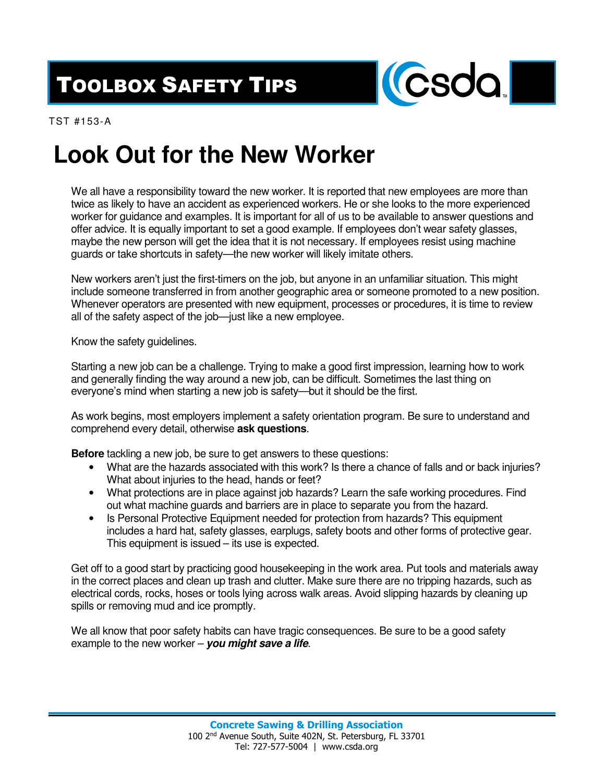## TOOLBOX SAFETY TIPS



TST #153-A

## **Look Out for the New Worker**

We all have a responsibility toward the new worker. It is reported that new employees are more than twice as likely to have an accident as experienced workers. He or she looks to the more experienced worker for guidance and examples. It is important for all of us to be available to answer questions and offer advice. It is equally important to set a good example. If employees don't wear safety glasses, maybe the new person will get the idea that it is not necessary. If employees resist using machine guards or take shortcuts in safety—the new worker will likely imitate others.

New workers aren't just the first-timers on the job, but anyone in an unfamiliar situation. This might include someone transferred in from another geographic area or someone promoted to a new position. Whenever operators are presented with new equipment, processes or procedures, it is time to review all of the safety aspect of the job—just like a new employee.

Know the safety guidelines.

Starting a new job can be a challenge. Trying to make a good first impression, learning how to work and generally finding the way around a new job, can be difficult. Sometimes the last thing on everyone's mind when starting a new job is safety—but it should be the first.

As work begins, most employers implement a safety orientation program. Be sure to understand and comprehend every detail, otherwise **ask questions**.

**Before** tackling a new job, be sure to get answers to these questions:

- What are the hazards associated with this work? Is there a chance of falls and or back injuries? What about injuries to the head, hands or feet?
- What protections are in place against job hazards? Learn the safe working procedures. Find out what machine guards and barriers are in place to separate you from the hazard.
- Is Personal Protective Equipment needed for protection from hazards? This equipment includes a hard hat, safety glasses, earplugs, safety boots and other forms of protective gear. This equipment is issued – its use is expected.

Get off to a good start by practicing good housekeeping in the work area. Put tools and materials away in the correct places and clean up trash and clutter. Make sure there are no tripping hazards, such as electrical cords, rocks, hoses or tools lying across walk areas. Avoid slipping hazards by cleaning up spills or removing mud and ice promptly.

We all know that poor safety habits can have tragic consequences. Be sure to be a good safety example to the new worker – **you might save a life**.